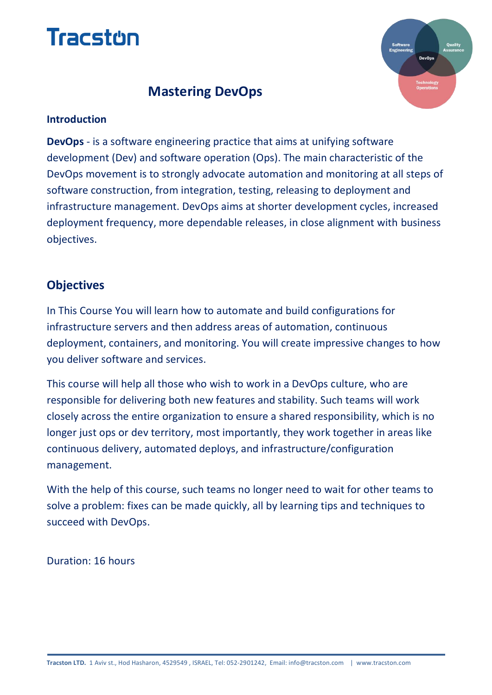



# **Mastering DevOps**

#### **Introduction**

**DevOps** - is a software engineering practice that aims at unifying software development (Dev) and software operation (Ops). The main characteristic of the DevOps movement is to strongly advocate automation and monitoring at all steps of software construction, from integration, testing, releasing to deployment and infrastructure management. DevOps aims at shorter development cycles, increased deployment frequency, more dependable releases, in close alignment with business objectives.

## **Objectives**

In This Course You will learn how to automate and build configurations for infrastructure servers and then address areas of automation, continuous deployment, containers, and monitoring. You will create impressive changes to how you deliver software and services.

This course will help all those who wish to work in a DevOps culture, who are responsible for delivering both new features and stability. Such teams will work closely across the entire organization to ensure a shared responsibility, which is no longer just ops or dev territory, most importantly, they work together in areas like continuous delivery, automated deploys, and infrastructure/configuration management.

With the help of this course, such teams no longer need to wait for other teams to solve a problem: fixes can be made quickly, all by learning tips and techniques to succeed with DevOps.

Duration: 16 hours